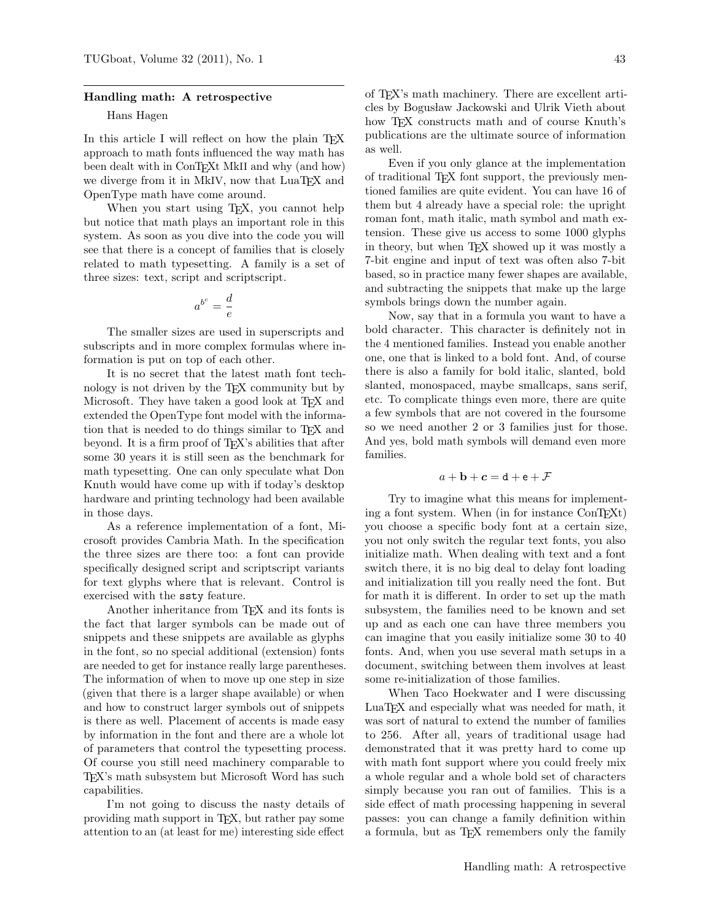### Handling math: A retrospective

## Hans Hagen

In this article I will reflect on how the plain TEX approach to math fonts influenced the way math has been dealt with in ConTEXt MkII and why (and how) we diverge from it in MkIV, now that LuaT<sub>EX</sub> and OpenType math have come around.

When you start using T<sub>E</sub>X, you cannot help but notice that math plays an important role in this system. As soon as you dive into the code you will see that there is a concept of families that is closely related to math typesetting. A family is a set of three sizes: text, script and scriptscript.

$$
a^{b^c} = \frac{d}{e}
$$

The smaller sizes are used in superscripts and subscripts and in more complex formulas where information is put on top of each other.

It is no secret that the latest math font technology is not driven by the TEX community but by Microsoft. They have taken a good look at TFX and extended the OpenType font model with the information that is needed to do things similar to TEX and beyond. It is a firm proof of TEX's abilities that after some 30 years it is still seen as the benchmark for math typesetting. One can only speculate what Don Knuth would have come up with if today's desktop hardware and printing technology had been available in those days.

As a reference implementation of a font, Microsoft provides Cambria Math. In the specification the three sizes are there too: a font can provide specifically designed script and scriptscript variants for text glyphs where that is relevant. Control is exercised with the ssty feature.

Another inheritance from TEX and its fonts is the fact that larger symbols can be made out of snippets and these snippets are available as glyphs in the font, so no special additional (extension) fonts are needed to get for instance really large parentheses. The information of when to move up one step in size (given that there is a larger shape available) or when and how to construct larger symbols out of snippets is there as well. Placement of accents is made easy by information in the font and there are a whole lot of parameters that control the typesetting process. Of course you still need machinery comparable to TEX's math subsystem but Microsoft Word has such capabilities.

I'm not going to discuss the nasty details of providing math support in TEX, but rather pay some attention to an (at least for me) interesting side effect

of TEX's math machinery. There are excellent articles by Bogusław Jackowski and Ulrik Vieth about how TEX constructs math and of course Knuth's publications are the ultimate source of information as well.

Even if you only glance at the implementation of traditional TEX font support, the previously mentioned families are quite evident. You can have 16 of them but 4 already have a special role: the upright roman font, math italic, math symbol and math extension. These give us access to some 1000 glyphs in theory, but when TEX showed up it was mostly a 7-bit engine and input of text was often also 7-bit based, so in practice many fewer shapes are available, and subtracting the snippets that make up the large symbols brings down the number again.

Now, say that in a formula you want to have a bold character. This character is definitely not in the 4 mentioned families. Instead you enable another one, one that is linked to a bold font. And, of course there is also a family for bold italic, slanted, bold slanted, monospaced, maybe smallcaps, sans serif, etc. To complicate things even more, there are quite a few symbols that are not covered in the foursome so we need another 2 or 3 families just for those. And yes, bold math symbols will demand even more families.

# $a + b + c = d + e + \mathcal{F}$

Try to imagine what this means for implementing a font system. When (in for instance ConTEXt) you choose a specific body font at a certain size, you not only switch the regular text fonts, you also initialize math. When dealing with text and a font switch there, it is no big deal to delay font loading and initialization till you really need the font. But for math it is different. In order to set up the math subsystem, the families need to be known and set up and as each one can have three members you can imagine that you easily initialize some 30 to 40 fonts. And, when you use several math setups in a document, switching between them involves at least some re-initialization of those families.

When Taco Hoekwater and I were discussing LuaTEX and especially what was needed for math, it was sort of natural to extend the number of families to 256. After all, years of traditional usage had demonstrated that it was pretty hard to come up with math font support where you could freely mix a whole regular and a whole bold set of characters simply because you ran out of families. This is a side effect of math processing happening in several passes: you can change a family definition within a formula, but as TEX remembers only the family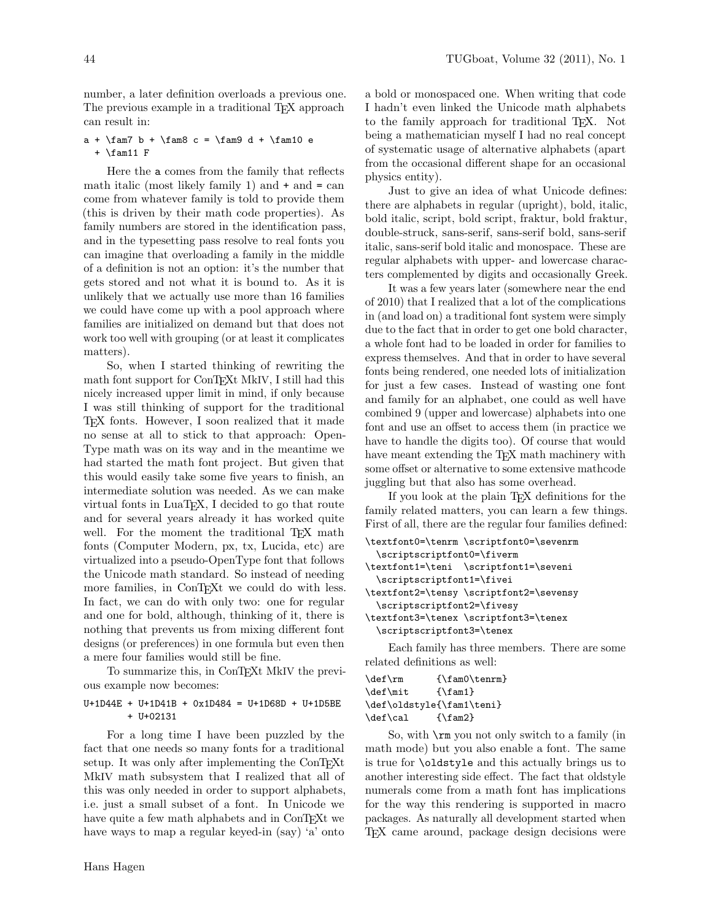number, a later definition overloads a previous one. The previous example in a traditional T<sub>E</sub>X approach can result in:

a +  $\tan7$  b +  $\tan8$  c =  $\tan9$  d +  $\tan10$  e + \fam11 F

Here the a comes from the family that reflects math italic (most likely family 1) and  $+$  and  $=$  can come from whatever family is told to provide them (this is driven by their math code properties). As family numbers are stored in the identification pass, and in the typesetting pass resolve to real fonts you can imagine that overloading a family in the middle of a definition is not an option: it's the number that gets stored and not what it is bound to. As it is unlikely that we actually use more than 16 families we could have come up with a pool approach where families are initialized on demand but that does not work too well with grouping (or at least it complicates matters).

So, when I started thinking of rewriting the math font support for ConT<sub>EXt</sub> MkIV, I still had this nicely increased upper limit in mind, if only because I was still thinking of support for the traditional TEX fonts. However, I soon realized that it made no sense at all to stick to that approach: Open-Type math was on its way and in the meantime we had started the math font project. But given that this would easily take some five years to finish, an intermediate solution was needed. As we can make virtual fonts in LuaTEX, I decided to go that route and for several years already it has worked quite well. For the moment the traditional T<sub>EX</sub> math fonts (Computer Modern, px, tx, Lucida, etc) are virtualized into a pseudo-OpenType font that follows the Unicode math standard. So instead of needing more families, in ConTEXt we could do with less. In fact, we can do with only two: one for regular and one for bold, although, thinking of it, there is nothing that prevents us from mixing different font designs (or preferences) in one formula but even then a mere four families would still be fine.

To summarize this, in ConTEXt MkIV the previous example now becomes:

## U+1D44E + U+1D41B + 0x1D484 = U+1D68D + U+1D5BE + U+02131

For a long time I have been puzzled by the fact that one needs so many fonts for a traditional setup. It was only after implementing the ConTEXt MkIV math subsystem that I realized that all of this was only needed in order to support alphabets, i.e. just a small subset of a font. In Unicode we have quite a few math alphabets and in ConT<sub>E</sub>Xt we have ways to map a regular keyed-in (say) 'a' onto

a bold or monospaced one. When writing that code I hadn't even linked the Unicode math alphabets to the family approach for traditional TEX. Not being a mathematician myself I had no real concept of systematic usage of alternative alphabets (apart from the occasional different shape for an occasional physics entity).

Just to give an idea of what Unicode defines: there are alphabets in regular (upright), bold, italic, bold italic, script, bold script, fraktur, bold fraktur, double-struck, sans-serif, sans-serif bold, sans-serif italic, sans-serif bold italic and monospace. These are regular alphabets with upper- and lowercase characters complemented by digits and occasionally Greek.

It was a few years later (somewhere near the end of 2010) that I realized that a lot of the complications in (and load on) a traditional font system were simply due to the fact that in order to get one bold character, a whole font had to be loaded in order for families to express themselves. And that in order to have several fonts being rendered, one needed lots of initialization for just a few cases. Instead of wasting one font and family for an alphabet, one could as well have combined 9 (upper and lowercase) alphabets into one font and use an offset to access them (in practice we have to handle the digits too). Of course that would have meant extending the T<sub>EX</sub> math machinery with some offset or alternative to some extensive mathcode juggling but that also has some overhead.

If you look at the plain TEX definitions for the family related matters, you can learn a few things. First of all, there are the regular four families defined:

```
\textfont0=\tenrm \scriptfont0=\sevenrm
  \scriptscriptfont0=\fiverm
\textfont1=\teni \scriptfont1=\seveni
  \scriptscriptfont1=\fivei
\textfont2=\tensy \scriptfont2=\sevensy
  \scriptscriptfont2=\fivesy
\textfont3=\tenex \scriptfont3=\tenex
 \scriptscriptfont3=\tenex
    Each family has three members. There are some
```
related definitions as well:

```
\def\rm {\fam0\tenrm}
\def\mit {\fam1}
\def\oldstyle{\fam1\teni}
\def\cal {\fam2}
```
So, with \rm you not only switch to a family (in math mode) but you also enable a font. The same is true for \oldstyle and this actually brings us to another interesting side effect. The fact that oldstyle numerals come from a math font has implications for the way this rendering is supported in macro packages. As naturally all development started when TEX came around, package design decisions were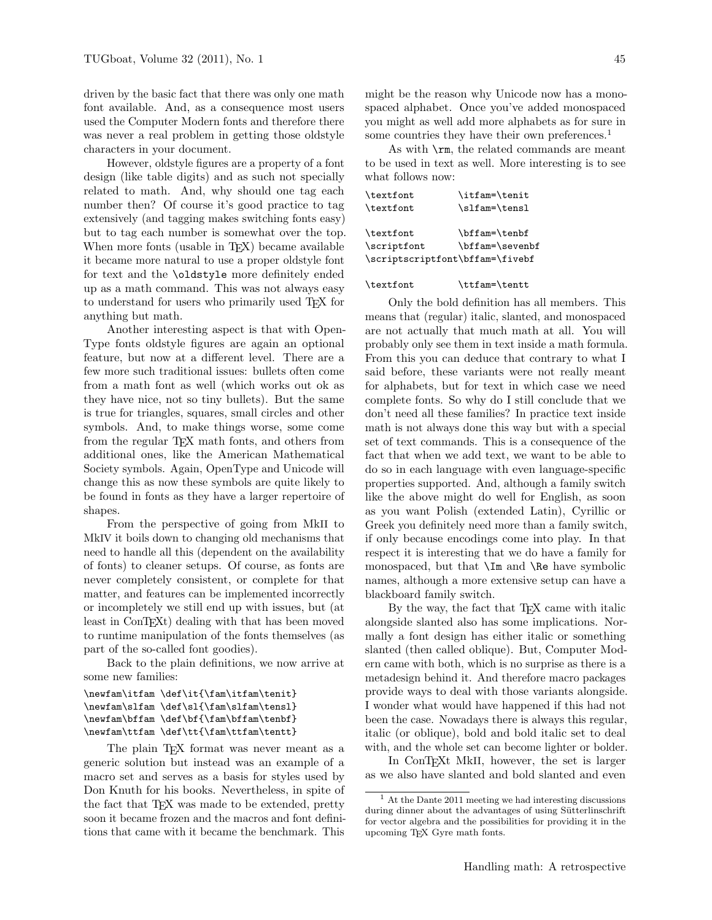driven by the basic fact that there was only one math font available. And, as a consequence most users used the Computer Modern fonts and therefore there was never a real problem in getting those oldstyle characters in your document.

However, oldstyle figures are a property of a font design (like table digits) and as such not specially related to math. And, why should one tag each number then? Of course it's good practice to tag extensively (and tagging makes switching fonts easy) but to tag each number is somewhat over the top. When more fonts (usable in T<sub>EX</sub>) became available it became more natural to use a proper oldstyle font for text and the \oldstyle more definitely ended up as a math command. This was not always easy to understand for users who primarily used TEX for anything but math.

Another interesting aspect is that with Open-Type fonts oldstyle figures are again an optional feature, but now at a different level. There are a few more such traditional issues: bullets often come from a math font as well (which works out ok as they have nice, not so tiny bullets). But the same is true for triangles, squares, small circles and other symbols. And, to make things worse, some come from the regular T<sub>EX</sub> math fonts, and others from additional ones, like the American Mathematical Society symbols. Again, OpenType and Unicode will change this as now these symbols are quite likely to be found in fonts as they have a larger repertoire of shapes.

From the perspective of going from MkII to MkIV it boils down to changing old mechanisms that need to handle all this (dependent on the availability of fonts) to cleaner setups. Of course, as fonts are never completely consistent, or complete for that matter, and features can be implemented incorrectly or incompletely we still end up with issues, but (at least in ConT<sub>E</sub>X<sup>t</sup>) dealing with that has been moved to runtime manipulation of the fonts themselves (as part of the so-called font goodies).

Back to the plain definitions, we now arrive at some new families:

```
\newfam\itfam \def\it{\fam\itfam\tenit}
\newfam\slfam \def\sl{\fam\slfam\tensl}
\newfam\bffam \def\bf{\fam\bffam\tenbf}
\newfam\ttfam \def\tt{\fam\ttfam\tentt}
```
The plain TFX format was never meant as a generic solution but instead was an example of a macro set and serves as a basis for styles used by Don Knuth for his books. Nevertheless, in spite of the fact that TEX was made to be extended, pretty soon it became frozen and the macros and font definitions that came with it became the benchmark. This

might be the reason why Unicode now has a monospaced alphabet. Once you've added monospaced you might as well add more alphabets as for sure in some countries they have their own preferences.<sup>1</sup>

As with \rm, the related commands are meant to be used in text as well. More interesting is to see what follows now:

| \textfont                       | \itfam=\tenit   |
|---------------------------------|-----------------|
| \textfont                       | \slfam=\tensl   |
|                                 |                 |
| \textfont                       | \bffam=\tenbf   |
| \scriptfont                     | \bffam=\sevenbf |
| \scriptscriptfont\bffam=\fivebf |                 |

#### \textfont \ttfam=\tentt

Only the bold definition has all members. This means that (regular) italic, slanted, and monospaced are not actually that much math at all. You will probably only see them in text inside a math formula. From this you can deduce that contrary to what I said before, these variants were not really meant for alphabets, but for text in which case we need complete fonts. So why do I still conclude that we don't need all these families? In practice text inside math is not always done this way but with a special set of text commands. This is a consequence of the fact that when we add text, we want to be able to do so in each language with even language-specific properties supported. And, although a family switch like the above might do well for English, as soon as you want Polish (extended Latin), Cyrillic or Greek you definitely need more than a family switch, if only because encodings come into play. In that respect it is interesting that we do have a family for monospaced, but that \Im and \Re have symbolic names, although a more extensive setup can have a blackboard family switch.

By the way, the fact that TFX came with italic alongside slanted also has some implications. Normally a font design has either italic or something slanted (then called oblique). But, Computer Modern came with both, which is no surprise as there is a metadesign behind it. And therefore macro packages provide ways to deal with those variants alongside. I wonder what would have happened if this had not been the case. Nowadays there is always this regular, italic (or oblique), bold and bold italic set to deal with, and the whole set can become lighter or bolder.

In ConTEXt MkII, however, the set is larger as we also have slanted and bold slanted and even

<sup>1</sup> At the Dante 2011 meeting we had interesting discussions during dinner about the advantages of using Sütterlinschrift for vector algebra and the possibilities for providing it in the upcoming TEX Gyre math fonts.